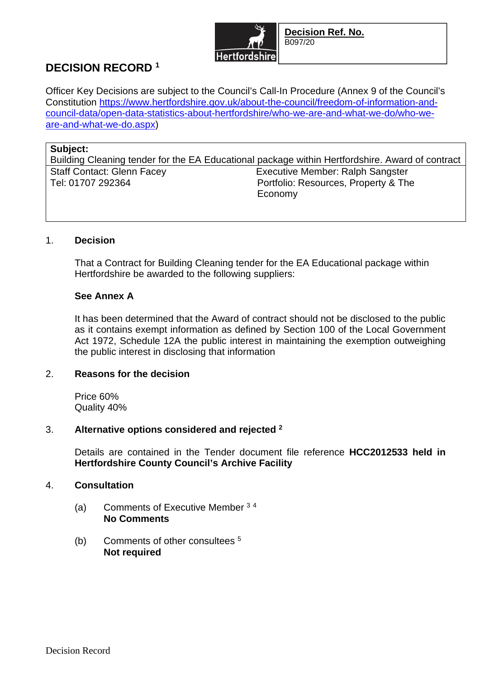

# **DECISION RECORD <sup>1</sup>**

Officer Key Decisions are subject to the Council's Call-In Procedure (Annex 9 of the Council's Constitution https://www.hertfordshire.gov.uk/about-the-council/freedom-of-information-andcouncil-data/open-data-statistics-about-hertfordshire/who-we-are-and-what-we-do/who-weare-and-what-we-do.aspx)

#### **Subject:**

Building Cleaning tender for the EA Educational package within Hertfordshire. Award of contract Staff Contact: Glenn Facey Executive Member: Ralph Sangster<br>Tel: 01707 292364 **Facey** Executive Member: Resources, Property & The Portfolio: Resources, Property & The Economy

# 1. **Decision**

That a Contract for Building Cleaning tender for the EA Educational package within Hertfordshire be awarded to the following suppliers:

# **See Annex A**

It has been determined that the Award of contract should not be disclosed to the public as it contains exempt information as defined by Section 100 of the Local Government Act 1972, Schedule 12A the public interest in maintaining the exemption outweighing the public interest in disclosing that information

# 2. **Reasons for the decision**

Price 60% Quality 40%

# 3. **Alternative options considered and rejected <sup>2</sup>**

Details are contained in the Tender document file reference **HCC2012533 held in Hertfordshire County Council's Archive Facility**

#### 4. **Consultation**

- (a) Comments of Executive Member <sup>3</sup> <sup>4</sup> **No Comments**
- (b) Comments of other consultees <sup>5</sup> **Not required**